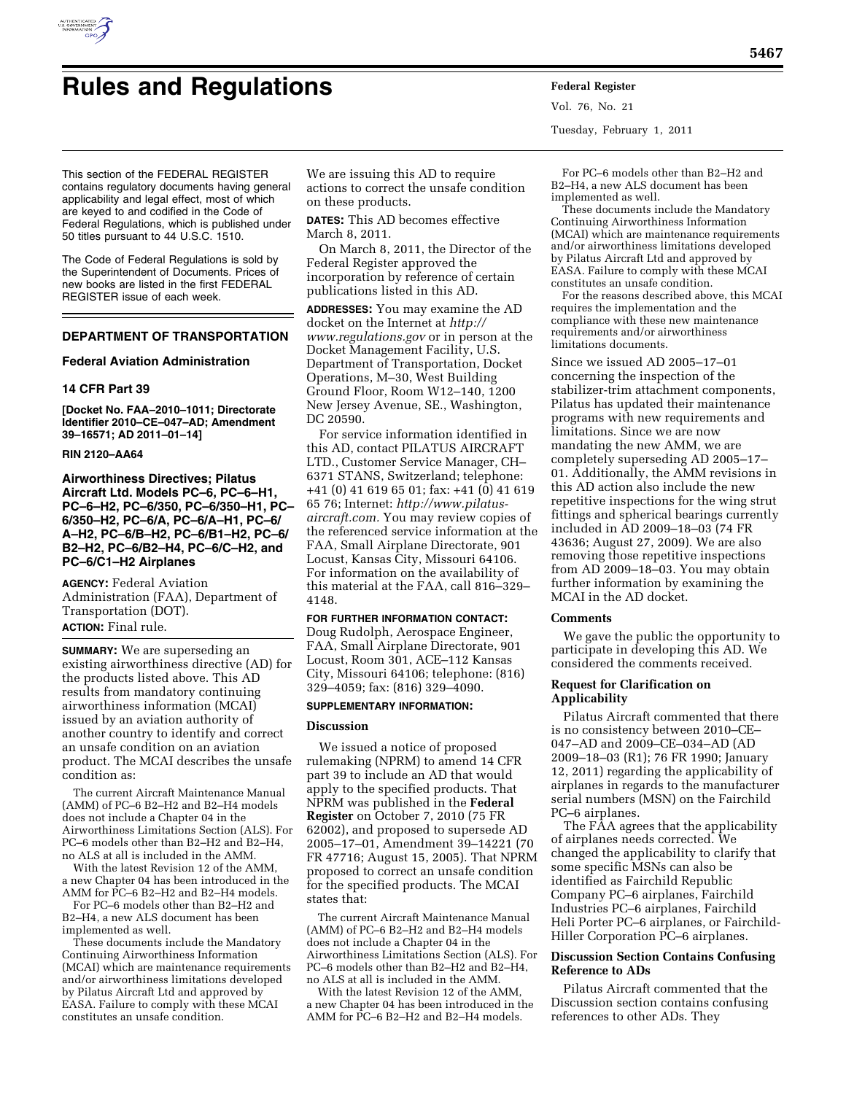

# **Rules and Regulations Federal Register**

Vol. 76, No. 21 Tuesday, February 1, 2011

This section of the FEDERAL REGISTER contains regulatory documents having general applicability and legal effect, most of which are keyed to and codified in the Code of Federal Regulations, which is published under 50 titles pursuant to 44 U.S.C. 1510.

The Code of Federal Regulations is sold by the Superintendent of Documents. Prices of new books are listed in the first FEDERAL REGISTER issue of each week.

## **DEPARTMENT OF TRANSPORTATION**

## **Federal Aviation Administration**

## **14 CFR Part 39**

**[Docket No. FAA–2010–1011; Directorate Identifier 2010–CE–047–AD; Amendment 39–16571; AD 2011–01–14]** 

## **RIN 2120–AA64**

**Airworthiness Directives; Pilatus Aircraft Ltd. Models PC–6, PC–6–H1, PC–6–H2, PC–6/350, PC–6/350–H1, PC– 6/350–H2, PC–6/A, PC–6/A–H1, PC–6/ A–H2, PC–6/B–H2, PC–6/B1–H2, PC–6/ B2–H2, PC–6/B2–H4, PC–6/C–H2, and PC–6/C1–H2 Airplanes** 

**AGENCY:** Federal Aviation Administration (FAA), Department of Transportation (DOT). **ACTION:** Final rule.

**SUMMARY:** We are superseding an existing airworthiness directive (AD) for the products listed above. This AD results from mandatory continuing airworthiness information (MCAI) issued by an aviation authority of another country to identify and correct an unsafe condition on an aviation product. The MCAI describes the unsafe condition as:

The current Aircraft Maintenance Manual (AMM) of PC–6 B2–H2 and B2–H4 models does not include a Chapter 04 in the Airworthiness Limitations Section (ALS). For PC–6 models other than B2–H2 and B2–H4, no ALS at all is included in the AMM.

With the latest Revision 12 of the AMM, a new Chapter 04 has been introduced in the AMM for PC–6 B2–H2 and B2–H4 models.

For PC–6 models other than B2–H2 and B2–H4, a new ALS document has been implemented as well.

These documents include the Mandatory Continuing Airworthiness Information (MCAI) which are maintenance requirements and/or airworthiness limitations developed by Pilatus Aircraft Ltd and approved by EASA. Failure to comply with these MCAI constitutes an unsafe condition.

We are issuing this AD to require actions to correct the unsafe condition on these products.

**DATES:** This AD becomes effective March 8, 2011.

On March 8, 2011, the Director of the Federal Register approved the incorporation by reference of certain publications listed in this AD.

**ADDRESSES:** You may examine the AD docket on the Internet at *[http://](http://www.regulations.gov)  [www.regulations.gov](http://www.regulations.gov)* or in person at the Docket Management Facility, U.S. Department of Transportation, Docket Operations, M–30, West Building Ground Floor, Room W12–140, 1200 New Jersey Avenue, SE., Washington, DC 20590.

For service information identified in this AD, contact PILATUS AIRCRAFT LTD., Customer Service Manager, CH– 6371 STANS, Switzerland; telephone: +41 (0) 41 619 65 01; fax: +41 (0) 41 619 65 76; Internet: *[http://www.pilatus](http://www.pilatus-aircraft.com)[aircraft.com.](http://www.pilatus-aircraft.com)* You may review copies of the referenced service information at the FAA, Small Airplane Directorate, 901 Locust, Kansas City, Missouri 64106. For information on the availability of this material at the FAA, call 816–329– 4148.

#### **FOR FURTHER INFORMATION CONTACT:**

Doug Rudolph, Aerospace Engineer, FAA, Small Airplane Directorate, 901 Locust, Room 301, ACE–112 Kansas City, Missouri 64106; telephone: (816) 329–4059; fax: (816) 329–4090.

## **SUPPLEMENTARY INFORMATION:**

## **Discussion**

We issued a notice of proposed rulemaking (NPRM) to amend 14 CFR part 39 to include an AD that would apply to the specified products. That NPRM was published in the **Federal Register** on October 7, 2010 (75 FR 62002), and proposed to supersede AD 2005–17–01, Amendment 39–14221 (70 FR 47716; August 15, 2005). That NPRM proposed to correct an unsafe condition for the specified products. The MCAI states that:

The current Aircraft Maintenance Manual (AMM) of PC–6 B2–H2 and B2–H4 models does not include a Chapter 04 in the Airworthiness Limitations Section (ALS). For PC–6 models other than B2–H2 and B2–H4, no ALS at all is included in the AMM.

With the latest Revision 12 of the AMM, a new Chapter 04 has been introduced in the AMM for PC–6 B2–H2 and B2–H4 models.

For PC–6 models other than B2–H2 and B2–H4, a new ALS document has been implemented as well.

These documents include the Mandatory Continuing Airworthiness Information (MCAI) which are maintenance requirements and/or airworthiness limitations developed by Pilatus Aircraft Ltd and approved by EASA. Failure to comply with these MCAI constitutes an unsafe condition.

For the reasons described above, this MCAI requires the implementation and the compliance with these new maintenance requirements and/or airworthiness limitations documents.

Since we issued AD 2005–17–01 concerning the inspection of the stabilizer-trim attachment components, Pilatus has updated their maintenance programs with new requirements and limitations. Since we are now mandating the new AMM, we are completely superseding AD 2005–17– 01. Additionally, the AMM revisions in this AD action also include the new repetitive inspections for the wing strut fittings and spherical bearings currently included in AD 2009–18–03 (74 FR 43636; August 27, 2009). We are also removing those repetitive inspections from AD 2009–18–03. You may obtain further information by examining the MCAI in the AD docket.

#### **Comments**

We gave the public the opportunity to participate in developing this AD. We considered the comments received.

## **Request for Clarification on Applicability**

Pilatus Aircraft commented that there is no consistency between 2010–CE– 047–AD and 2009–CE–034–AD (AD 2009–18–03 (R1); 76 FR 1990; January 12, 2011) regarding the applicability of airplanes in regards to the manufacturer serial numbers (MSN) on the Fairchild PC–6 airplanes.

The FAA agrees that the applicability of airplanes needs corrected. We changed the applicability to clarify that some specific MSNs can also be identified as Fairchild Republic Company PC–6 airplanes, Fairchild Industries PC–6 airplanes, Fairchild Heli Porter PC–6 airplanes, or Fairchild-Hiller Corporation PC–6 airplanes.

#### **Discussion Section Contains Confusing Reference to ADs**

Pilatus Aircraft commented that the Discussion section contains confusing references to other ADs. They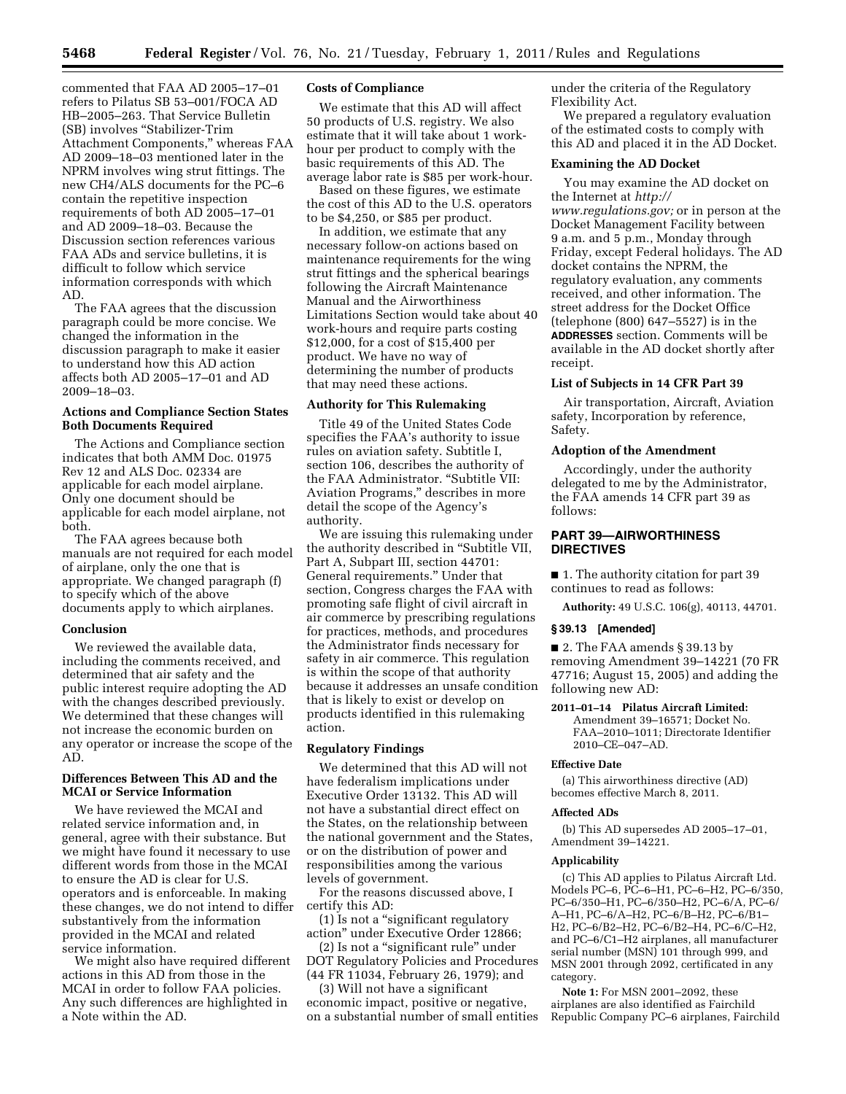commented that FAA AD 2005–17–01 refers to Pilatus SB 53–001/FOCA AD HB–2005–263. That Service Bulletin (SB) involves ''Stabilizer-Trim Attachment Components,'' whereas FAA AD 2009–18–03 mentioned later in the NPRM involves wing strut fittings. The new CH4/ALS documents for the PC–6 contain the repetitive inspection requirements of both AD 2005–17–01 and AD 2009–18–03. Because the Discussion section references various FAA ADs and service bulletins, it is difficult to follow which service information corresponds with which AD.

The FAA agrees that the discussion paragraph could be more concise. We changed the information in the discussion paragraph to make it easier to understand how this AD action affects both AD 2005–17–01 and AD 2009–18–03.

## **Actions and Compliance Section States Both Documents Required**

The Actions and Compliance section indicates that both AMM Doc. 01975 Rev 12 and ALS Doc. 02334 are applicable for each model airplane. Only one document should be applicable for each model airplane, not both.

The FAA agrees because both manuals are not required for each model of airplane, only the one that is appropriate. We changed paragraph (f) to specify which of the above documents apply to which airplanes.

## **Conclusion**

We reviewed the available data, including the comments received, and determined that air safety and the public interest require adopting the AD with the changes described previously. We determined that these changes will not increase the economic burden on any operator or increase the scope of the AD.

## **Differences Between This AD and the MCAI or Service Information**

We have reviewed the MCAI and related service information and, in general, agree with their substance. But we might have found it necessary to use different words from those in the MCAI to ensure the AD is clear for U.S. operators and is enforceable. In making these changes, we do not intend to differ substantively from the information provided in the MCAI and related service information.

We might also have required different actions in this AD from those in the MCAI in order to follow FAA policies. Any such differences are highlighted in a Note within the AD.

## **Costs of Compliance**

We estimate that this AD will affect 50 products of U.S. registry. We also estimate that it will take about 1 workhour per product to comply with the basic requirements of this AD. The average labor rate is \$85 per work-hour.

Based on these figures, we estimate the cost of this AD to the U.S. operators to be \$4,250, or \$85 per product.

In addition, we estimate that any necessary follow-on actions based on maintenance requirements for the wing strut fittings and the spherical bearings following the Aircraft Maintenance Manual and the Airworthiness Limitations Section would take about 40 work-hours and require parts costing \$12,000, for a cost of \$15,400 per product. We have no way of determining the number of products that may need these actions.

## **Authority for This Rulemaking**

Title 49 of the United States Code specifies the FAA's authority to issue rules on aviation safety. Subtitle I, section 106, describes the authority of the FAA Administrator. "Subtitle VII: Aviation Programs,'' describes in more detail the scope of the Agency's authority.

We are issuing this rulemaking under the authority described in ''Subtitle VII, Part A, Subpart III, section 44701: General requirements.'' Under that section, Congress charges the FAA with promoting safe flight of civil aircraft in air commerce by prescribing regulations for practices, methods, and procedures the Administrator finds necessary for safety in air commerce. This regulation is within the scope of that authority because it addresses an unsafe condition that is likely to exist or develop on products identified in this rulemaking action.

#### **Regulatory Findings**

We determined that this AD will not have federalism implications under Executive Order 13132. This AD will not have a substantial direct effect on the States, on the relationship between the national government and the States, or on the distribution of power and responsibilities among the various levels of government.

For the reasons discussed above, I certify this AD:

(1) Is not a ''significant regulatory action'' under Executive Order 12866;

(2) Is not a ''significant rule'' under DOT Regulatory Policies and Procedures (44 FR 11034, February 26, 1979); and

(3) Will not have a significant economic impact, positive or negative, on a substantial number of small entities under the criteria of the Regulatory Flexibility Act.

We prepared a regulatory evaluation of the estimated costs to comply with this AD and placed it in the AD Docket.

## **Examining the AD Docket**

You may examine the AD docket on the Internet at *[http://](http://www.regulations.gov)  [www.regulations.gov;](http://www.regulations.gov)* or in person at the Docket Management Facility between 9 a.m. and 5 p.m., Monday through Friday, except Federal holidays. The AD docket contains the NPRM, the regulatory evaluation, any comments received, and other information. The street address for the Docket Office (telephone (800) 647–5527) is in the **ADDRESSES** section. Comments will be available in the AD docket shortly after receipt.

## **List of Subjects in 14 CFR Part 39**

Air transportation, Aircraft, Aviation safety, Incorporation by reference, Safety.

#### **Adoption of the Amendment**

Accordingly, under the authority delegated to me by the Administrator, the FAA amends 14 CFR part 39 as follows:

## **PART 39—AIRWORTHINESS DIRECTIVES**

■ 1. The authority citation for part 39 continues to read as follows:

**Authority:** 49 U.S.C. 106(g), 40113, 44701.

#### **§ 39.13 [Amended]**

■ 2. The FAA amends § 39.13 by removing Amendment 39–14221 (70 FR 47716; August 15, 2005) and adding the following new AD:

## **2011–01–14 Pilatus Aircraft Limited:**

Amendment 39–16571; Docket No. FAA–2010–1011; Directorate Identifier 2010–CE–047–AD.

#### **Effective Date**

(a) This airworthiness directive (AD) becomes effective March 8, 2011.

#### **Affected ADs**

(b) This AD supersedes AD 2005–17–01, Amendment 39–14221.

#### **Applicability**

(c) This AD applies to Pilatus Aircraft Ltd. Models PC–6, PC–6–H1, PC–6–H2, PC–6/350, PC–6/350–H1, PC–6/350–H2, PC–6/A, PC–6/ A–H1, PC–6/A–H2, PC–6/B–H2, PC–6/B1– H2, PC–6/B2–H2, PC–6/B2–H4, PC–6/C–H2, and PC–6/C1–H2 airplanes, all manufacturer serial number (MSN) 101 through 999, and MSN 2001 through 2092, certificated in any category.

**Note 1:** For MSN 2001–2092, these airplanes are also identified as Fairchild Republic Company PC–6 airplanes, Fairchild